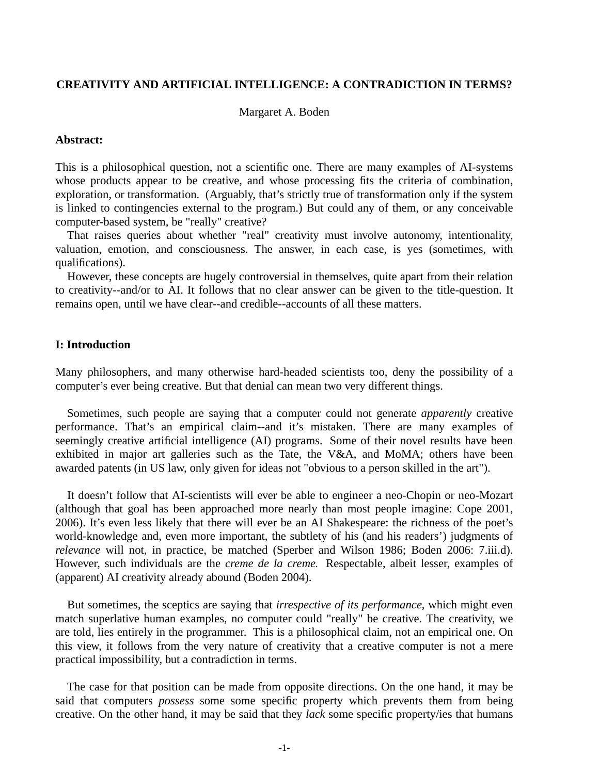### **CREATIVITY AND ARTIFICIAL INTELLIGENCE: A CONTRADICTION IN TERMS?**

#### Margaret A. Boden

## **Abstract:**

This is a philosophical question, not a scientific one. There are many examples of AI-systems whose products appear to be creative, and whose processing fits the criteria of combination, exploration, or transformation. (Arguably, that's strictly true of transformation only if the system is linked to contingencies external to the program.) But could any of them, or any conceivable computer-based system, be "really" creative?

That raises queries about whether "real" creativity must involve autonomy, intentionality, valuation, emotion, and consciousness. The answer, in each case, is yes (sometimes, with qualifications).

However, these concepts are hugely controversial in themselves, quite apart from their relation to creativity--and/or to AI. It follows that no clear answer can be given to the title-question. It remains open, until we have clear--and credible--accounts of all these matters.

## **I: Introduction**

Many philosophers, and many otherwise hard-headed scientists too, deny the possibility of a computer's ever being creative. But that denial can mean two very different things.

Sometimes, such people are saying that a computer could not generate *apparently* creative performance. That's an empirical claim--and it's mistaken. There are many examples of seemingly creative artificial intelligence (AI) programs. Some of their novel results have been exhibited in major art galleries such as the Tate, the V&A, and MoMA; others have been aw arded patents (in US law, only given for ideas not "obvious to a person skilled in the art").

It doesn't follow that AI-scientists will ever be able to engineer a neo-Chopin or neo-Mozart (although that goal has been approached more nearly than most people imagine: Cope 2001, 2006). It's even less likely that there will ever be an AI Shakespeare: the richness of the poet's world-knowledge and, even more important, the subtlety of his (and his readers') judgments of *relevance* will not, in practice, be matched (Sperber and Wilson 1986; Boden 2006: 7.iii.d). However, such individuals are the *creme de la creme.* Respectable, albeit lesser, examples of (apparent) AI creativity already abound (Boden 2004).

But sometimes, the sceptics are saying that *irrespective of its performance,* which might even match superlative human examples, no computer could "really" be creative. The creativity, we are told, lies entirely in the programmer. This is a philosophical claim, not an empirical one. On this view, it follows from the very nature of creativity that a creative computer is not a mere practical impossibility, but a contradiction in terms.

The case for that position can be made from opposite directions. On the one hand, it may be said that computers *possess* some some specific property which prevents them from being creative. On the other hand, it may be said that they *lack* some specific property/ies that humans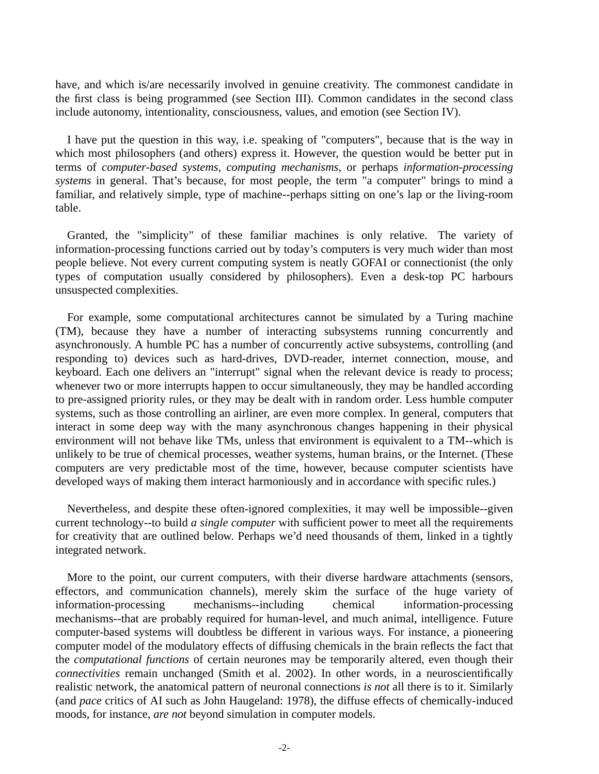have, and which is/are necessarily involved in genuine creativity. The commonest candidate in the first class is being programmed (see Section III). Common candidates in the second class include autonomy, intentionality, consciousness, values, and emotion (see Section IV).

I have put the question in this way, i.e. speaking of "computers", because that is the way in which most philosophers (and others) express it. However, the question would be better put in terms of *computer-based systems, computing mechanisms,* or perhaps *information-processing systems* in general. That's because, for most people, the term "a computer" brings to mind a familiar, and relatively simple, type of machine--perhaps sitting on one's lap or the living-room table.

Granted, the "simplicity" of these familiar machines is only relative. The variety of information-processing functions carried out by today's computers is very much wider than most people believe. Not every current computing system is neatly GOFAI or connectionist (the only types of computation usually considered by philosophers). Even a desk-top PC harbours unsuspected complexities.

For example, some computational architectures cannot be simulated by a Turing machine (TM), because they have a number of interacting subsystems running concurrently and asynchronously.Ahumble PC has a number of concurrently active subsystems, controlling (and responding to) devices such as hard-drives, DVD-reader, internet connection, mouse, and keyboard. Each one delivers an "interrupt" signal when the relevant device is ready to process; whenever two or more interrupts happen to occur simultaneously, they may be handled according to pre-assigned priority rules, or they may be dealt with in random order. Less humble computer systems, such as those controlling an airliner, are even more complex. In general, computers that interact in some deep way with the many asynchronous changes happening in their physical environment will not behave like TMs, unless that environment is equivalent to a TM--which is unlikely to be true of chemical processes, weather systems, human brains, or the Internet. (These computers are very predictable most of the time, however, because computer scientists have developed ways of making them interact harmoniously and in accordance with specific rules.)

Nevertheless, and despite these often-ignored complexities, it may well be impossible--given current technology--to build *a single computer* with sufficient power to meet all the requirements for creativity that are outlined below. Perhaps we'd need thousands of them, linked in a tightly integrated network.

More to the point, our current computers, with their diverse hardware attachments (sensors, effectors, and communication channels), merely skim the surface of the huge variety of information-processing mechanisms--including chemical information-processing mechanisms--that are probably required for human-level, and much animal, intelligence. Future computer-based systems will doubtless be different in various ways. For instance, a pioneering computer model of the modulatory effects of diffusing chemicals in the brain reflects the fact that the *computational functions* of certain neurones may be temporarily altered, even though their *connectivities* remain unchanged (Smith et al. 2002). In other words, in a neuroscientifically realistic network, the anatomical pattern of neuronal connections *is not* all there is to it. Similarly (and *pace* critics of AI such as John Haugeland: 1978), the diffuse effects of chemically-induced moods, for instance, *are not* beyond simulation in computer models.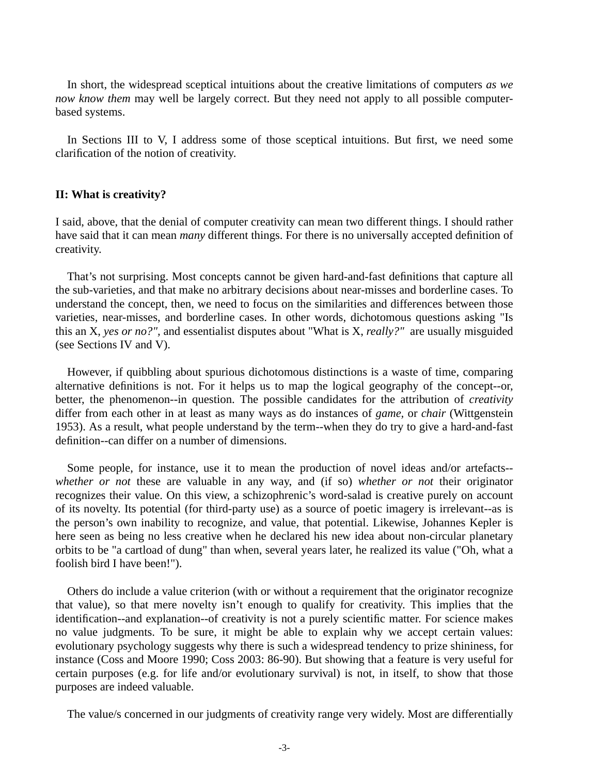In short, the widespread sceptical intuitions about the creative limitations of computers *as we now know them* may well be largely correct. But they need not apply to all possible computerbased systems.

In Sections III to V, I address some of those sceptical intuitions. But first, we need some clarification of the notion of creativity.

#### **II: What is creativity?**

I said, above, that the denial of computer creativity can mean two different things. I should rather have said that it can mean *many* different things. For there is no universally accepted definition of creativity.

That's not surprising. Most concepts cannot be given hard-and-fast definitions that capture all the sub-varieties, and that make no arbitrary decisions about near-misses and borderline cases. To understand the concept, then, we need to focus on the similarities and differences between those varieties, near-misses, and borderline cases. In other words, dichotomous questions asking "Is this an X, *yes or no?",* and essentialist disputes about "What is X, *really?"* are usually misguided (see Sections IV and V).

However, if quibbling about spurious dichotomous distinctions is a waste of time, comparing alternative definitions is not. For it helps us to map the logical geography of the concept--or, better, the phenomenon--in question. The possible candidates for the attribution of *creativity* differ from each other in at least as many ways as do instances of *game,* or *chair* (Wittgenstein 1953). As a result, what people understand by the term--when they do try to give a hard-and-fast definition--can differ on a number of dimensions.

Some people, for instance, use it to mean the production of novel ideas and/or artefacts- *whether or not* these are valuable in any way, and (if so) *whether or not* their originator recognizes their value. On this view, a schizophrenic's word-salad is creative purely on account of its novelty. Its potential (for third-party use) as a source of poetic imagery is irrelevant--as is the person's own inability to recognize, and value, that potential. Likewise, Johannes Kepler is here seen as being no less creative when he declared his new idea about non-circular planetary orbits to be "a cartload of dung" than when, several years later, he realized its value ("Oh, what a foolish bird I have been!").

Others do include a value criterion (with or without a requirement that the originator recognize that value), so that mere novelty isn't enough to qualify for creativity. This implies that the identification--and explanation--of creativity is not a purely scientific matter. For science makes no value judgments. To be sure, it might be able to explain why we accept certain values: evolutionary psychology suggests why there is such a widespread tendency to prize shininess, for instance (Coss and Moore 1990; Coss 2003: 86-90). But showing that a feature is very useful for certain purposes (e.g. for life and/or evolutionary survival) is not, in itself, to show that those purposes are indeed valuable.

The value/s concerned in our judgments of creativity range very widely. Most are differentially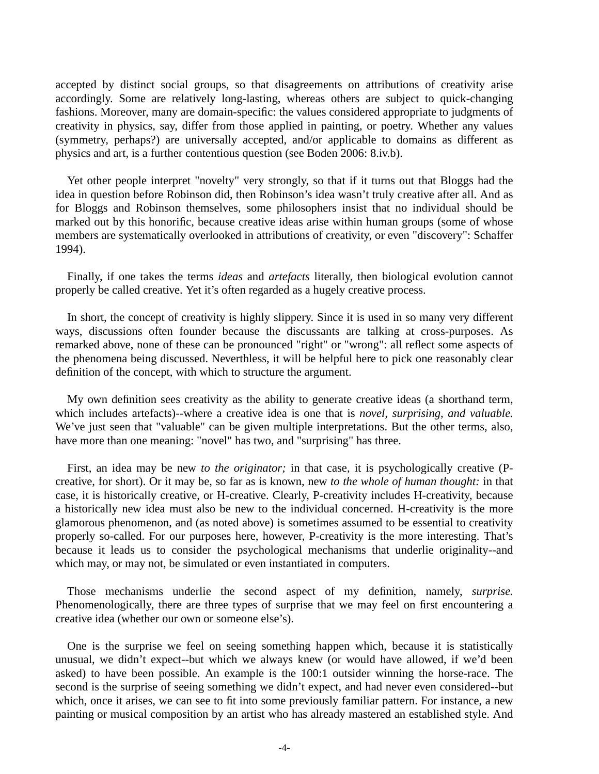accepted by distinct social groups, so that disagreements on attributions of creativity arise accordingly. Some are relatively long-lasting, whereas others are subject to quick-changing fashions. Moreover, many are domain-specific: the values considered appropriate to judgments of creativity in physics, say, differ from those applied in painting, or poetry. Whether any values (symmetry, perhaps?) are universally accepted, and/or applicable to domains as different as physics and art, is a further contentious question (see Boden 2006: 8.iv.b).

Yet other people interpret "novelty" very strongly, so that if it turns out that Bloggs had the idea in question before Robinson did, then Robinson's idea wasn't truly creative after all. And as for Bloggs and Robinson themselves, some philosophers insist that no individual should be marked out by this honorific, because creative ideas arise within human groups (some of whose members are systematically overlooked in attributions of creativity, or even "discovery": Schaffer 1994).

Finally, if one takes the terms *ideas* and *artefacts* literally, then biological evolution cannot properly be called creative. Yet it's often regarded as a hugely creative process.

In short, the concept of creativity is highly slippery. Since it is used in so many very different ways, discussions often founder because the discussants are talking at cross-purposes. As remarked above, none of these can be pronounced "right" or "wrong": all reflect some aspects of the phenomena being discussed. Neverthless, it will be helpful here to pick one reasonably clear definition of the concept, with which to structure the argument.

My own definition sees creativity as the ability to generate creative ideas (a shorthand term, which includes artefacts)--where a creative idea is one that is *novel, surprising, and valuable.* We've just seen that "valuable" can be given multiple interpretations. But the other terms, also, have more than one meaning: "novel" has two, and "surprising" has three.

First, an idea may be new *to the originator;* in that case, it is psychologically creative (Pcreative, for short). Or it may be, so far as is known, new *to the whole of human thought:* in that case, it is historically creative, or H-creative. Clearly, P-creativity includes H-creativity, because a historically new idea must also be new to the individual concerned. H-creativity is the more glamorous phenomenon, and (as noted above) is sometimes assumed to be essential to creativity properly so-called. For our purposes here, however, P-creativity is the more interesting. That's because it leads us to consider the psychological mechanisms that underlie originality--and which may, or may not, be simulated or even instantiated in computers.

Those mechanisms underlie the second aspect of my definition, namely, *surprise.* Phenomenologically, there are three types of surprise that we may feel on first encountering a creative idea (whether our own or someone else's).

One is the surprise we feel on seeing something happen which, because it is statistically unusual, we didn't expect--but which we always knew (or would have allowed, if we'd been asked) to have been possible. An example is the 100:1 outsider winning the horse-race. The second is the surprise of seeing something we didn't expect, and had never even considered--but which, once it arises, we can see to fit into some previously familiar pattern. For instance, a new painting or musical composition by an artist who has already mastered an established style. And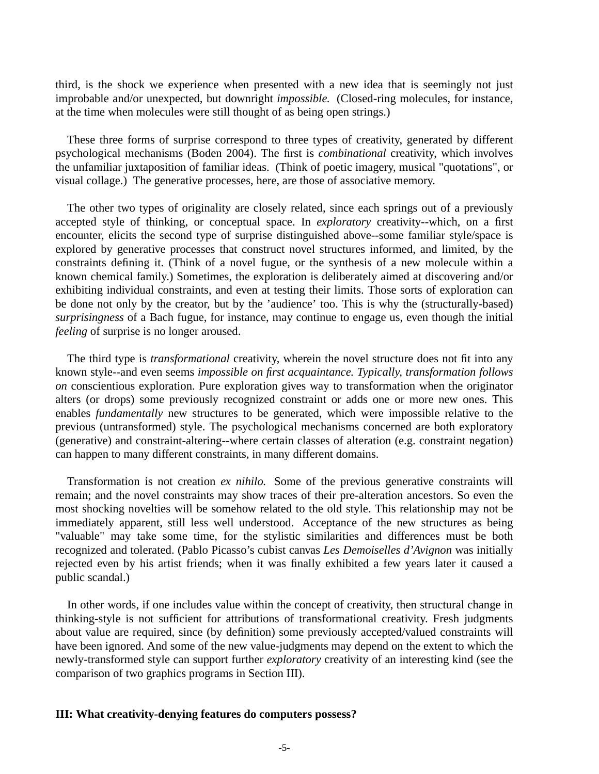third, is the shock we experience when presented with a new idea that is seemingly not just improbable and/or unexpected, but downright *impossible.* (Closed-ring molecules, for instance, at the time when molecules were still thought of as being open strings.)

These three forms of surprise correspond to three types of creativity, generated by different psychological mechanisms (Boden 2004). The first is *combinational* creativity, which involves the unfamiliar juxtaposition of familiar ideas. (Think of poetic imagery, musical "quotations", or visual collage.) The generative processes, here, are those of associative memory.

The other two types of originality are closely related, since each springs out of a previously accepted style of thinking, or conceptual space. In *exploratory* creativity--which, on a first encounter, elicits the second type of surprise distinguished above--some familiar style/space is explored by generative processes that construct novel structures informed, and limited, by the constraints defining it. (Think of a novel fugue, or the synthesis of a new molecule within a known chemical family.) Sometimes, the exploration is deliberately aimed at discovering and/or exhibiting individual constraints, and even at testing their limits. Those sorts of exploration can be done not only by the creator, but by the 'audience' too. This is why the (structurally-based) *surprisingness* of a Bach fugue, for instance, may continue to engage us, even though the initial *feeling* of surprise is no longer aroused.

The third type is *transformational* creativity, wherein the novel structure does not fit into any known style--and even seems *impossible on first acquaintance. Typically, transformation follows on* conscientious exploration. Pure exploration gives way to transformation when the originator alters (or drops) some previously recognized constraint or adds one or more new ones. This enables *fundamentally* new structures to be generated, which were impossible relative to the previous (untransformed) style. The psychological mechanisms concerned are both exploratory (generative) and constraint-altering--where certain classes of alteration (e.g. constraint negation) can happen to many different constraints, in many different domains.

Transformation is not creation *ex nihilo.* Some of the previous generative constraints will remain; and the novel constraints may show traces of their pre-alteration ancestors. So even the most shocking novelties will be somehow related to the old style. This relationship may not be immediately apparent, still less well understood. Acceptance of the new structures as being "valuable" may take some time, for the stylistic similarities and differences must be both recognized and tolerated. (Pablo Picasso's cubist canvas *Les Demoiselles d'Avignon* was initially rejected even by his artist friends; when it was finally exhibited a few years later it caused a public scandal.)

In other words, if one includes value within the concept of creativity, then structural change in thinking-style is not sufficient for attributions of transformational creativity. Fresh judgments about value are required, since (by definition) some previously accepted/valued constraints will have been ignored. And some of the new value-judgments may depend on the extent to which the newly-transformed style can support further *exploratory* creativity of an interesting kind (see the comparison of two graphics programs in Section III).

## **III: What creativity-denying features do computers possess?**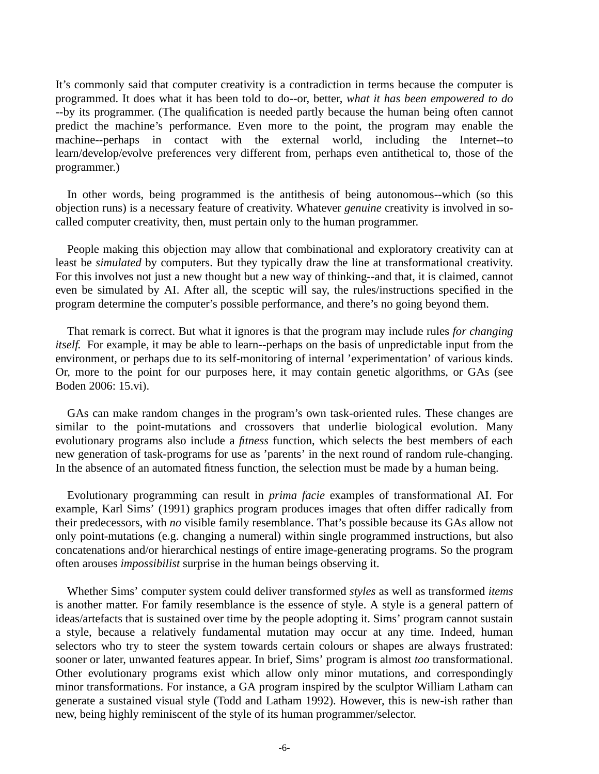It's commonly said that computer creativity is a contradiction in terms because the computer is programmed. It does what it has been told to do--or, better, *what it has been empowered to do* --by its programmer. (The qualification is needed partly because the human being often cannot predict the machine's performance. Even more to the point, the program may enable the machine--perhaps in contact with the external world, including the Internet--to learn/develop/evolve preferences very different from, perhaps even antithetical to, those of the programmer.)

In other words, being programmed is the antithesis of being autonomous--which (so this objection runs) is a necessary feature of creativity. Whatever *genuine* creativity is involved in socalled computer creativity, then, must pertain only to the human programmer.

People making this objection may allow that combinational and exploratory creativity can at least be *simulated* by computers. But they typically draw the line at transformational creativity. For this involves not just a new thought but a new way of thinking--and that, it is claimed, cannot even be simulated by AI. After all, the sceptic will say, the rules/instructions specified in the program determine the computer's possible performance, and there's no going beyond them.

That remark is correct. But what it ignores is that the program may include rules *for changing itself.* For example, it may be able to learn--perhaps on the basis of unpredictable input from the environment, or perhaps due to its self-monitoring of internal 'experimentation' of various kinds. Or, more to the point for our purposes here, it may contain genetic algorithms, or GAs (see Boden 2006: 15.vi).

GAs can make random changes in the program's own task-oriented rules. These changes are similar to the point-mutations and crossovers that underlie biological evolution. Many evolutionary programs also include a *fitness* function, which selects the best members of each new generation of task-programs for use as 'parents' in the next round of random rule-changing. In the absence of an automated fitness function, the selection must be made by a human being.

Evolutionary programming can result in *prima facie* examples of transformational AI. For example, Karl Sims' (1991) graphics program produces images that often differ radically from their predecessors, with *no* visible family resemblance. That's possible because its GAs allow not only point-mutations (e.g. changing a numeral) within single programmed instructions, but also concatenations and/or hierarchical nestings of entire image-generating programs. So the program often arouses *impossibilist* surprise in the human beings observing it.

Whether Sims' computer system could deliver transformed *styles* as well as transformed *items* is another matter. For family resemblance is the essence of style. A style is a general pattern of ideas/artefacts that is sustained over time by the people adopting it. Sims' program cannot sustain a style, because a relatively fundamental mutation may occur at any time. Indeed, human selectors who try to steer the system towards certain colours or shapes are always frustrated: sooner or later, unwanted features appear. In brief, Sims' program is almost *too* transformational. Other evolutionary programs exist which allow only minor mutations, and correspondingly minor transformations. For instance, a GA program inspired by the sculptor William Latham can generate a sustained visual style (Todd and Latham 1992). However, this is new-ish rather than new, being highly reminiscent of the style of its human programmer/selector.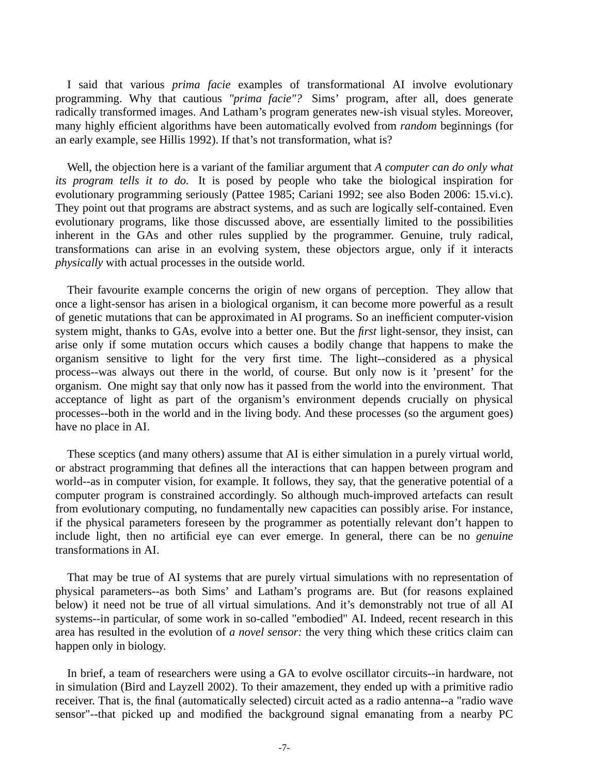I said that various *prima facie* examples of transformational AI involve evolutionary programming. Why that cautious *"prima facie"?* Sims' program, after all, does generate radically transformed images. And Latham's program generates new-ish visual styles. Moreover, many highly efficient algorithms have been automatically evolved from *random* beginnings (for an early example, see Hillis 1992). If that's not transformation, what is?

Well, the objection here is a variant of the familiar argument that *A computer can do only what its program tells it to do.* It is posed by people who take the biological inspiration for evolutionary programming seriously (Pattee 1985; Cariani 1992; see also Boden 2006: 15.vi.c). They point out that programs are abstract systems, and as such are logically self-contained. Even evolutionary programs, like those discussed above, are essentially limited to the possibilities inherent in the GAs and other rules supplied by the programmer. Genuine, truly radical, transformations can arise in an evolving system, these objectors argue, only if it interacts *physically* with actual processes in the outside world.

Their favourite example concerns the origin of new organs of perception. They allow that once a light-sensor has arisen in a biological organism, it can become more powerful as a result of genetic mutations that can be approximated in AI programs. So an inefficient computer-vision system might, thanks to GAs, evolve into a better one. But the *first* light-sensor, they insist, can arise only if some mutation occurs which causes a bodily change that happens to make the organism sensitive to light for the very first time. The light--considered as a physical process--was always out there in the world, of course. But only now is it 'present' for the organism. One might say that only now has it passed from the world into the environment. That acceptance of light as part of the organism's environment depends crucially on physical processes--both in the world and in the living body. And these processes (so the argument goes) have no place in AI.

These sceptics (and many others) assume that AI is either simulation in a purely virtual world, or abstract programming that defines all the interactions that can happen between program and world--as in computer vision, for example. It follows, they say, that the generative potential of a computer program is constrained accordingly. So although much-improved artefacts can result from evolutionary computing, no fundamentally new capacities can possibly arise. For instance, if the physical parameters foreseen by the programmer as potentially relevant don't happen to include light, then no artificial eye can ever emerge. In general, there can be no *genuine* transformations in AI.

That may be true of AI systems that are purely virtual simulations with no representation of physical parameters--as both Sims' and Latham's programs are. But (for reasons explained below) it need not be true of all virtual simulations. And it's demonstrably not true of all AI systems--in particular, of some work in so-called "embodied" AI. Indeed, recent research in this area has resulted in the evolution of *a novel sensor:* the very thing which these critics claim can happen only in biology.

In brief, a team of researchers were using a GA to evolve oscillator circuits--in hardware, not in simulation (Bird and Layzell 2002). To their amazement, they ended up with a primitive radio receiver. That is, the final (automatically selected) circuit acted as a radio antenna--a "radio wave sensor"--that picked up and modified the background signal emanating from a nearby PC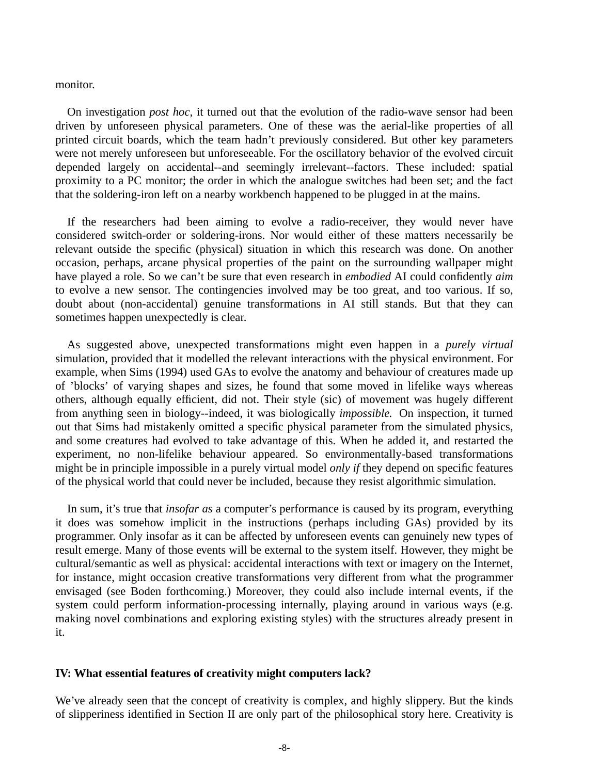monitor.

On investigation *post hoc*, it turned out that the evolution of the radio-wave sensor had been driven by unforeseen physical parameters. One of these was the aerial-like properties of all printed circuit boards, which the team hadn't previously considered. But other key parameters were not merely unforeseen but unforeseeable. For the oscillatory behavior of the evolved circuit depended largely on accidental--and seemingly irrelevant--factors. These included: spatial proximity to a PC monitor; the order in which the analogue switches had been set; and the fact that the soldering-iron left on a nearby workbench happened to be plugged in at the mains.

If the researchers had been aiming to evolve a radio-receiver, they would never have considered switch-order or soldering-irons. Nor would either of these matters necessarily be relevant outside the specific (physical) situation in which this research was done. On another occasion, perhaps, arcane physical properties of the paint on the surrounding wallpaper might have played a role. So we can't be sure that even research in *embodied* AI could confidently *aim* to evolve a new sensor. The contingencies involved may be too great, and too various. If so, doubt about (non-accidental) genuine transformations in AI still stands. But that they can sometimes happen unexpectedly is clear.

As suggested above, unexpected transformations might even happen in a *purely virtual* simulation, provided that it modelled the relevant interactions with the physical environment. For example, when Sims (1994) used GAs to evolve the anatomy and behaviour of creatures made up of 'blocks' of varying shapes and sizes, he found that some moved in lifelike ways whereas others, although equally efficient, did not. Their style (sic) of movement was hugely different from anything seen in biology--indeed, it was biologically *impossible.* On inspection, it turned out that Sims had mistakenly omitted a specific physical parameter from the simulated physics, and some creatures had evolved to take advantage of this. When he added it, and restarted the experiment, no non-lifelike behaviour appeared. So environmentally-based transformations might be in principle impossible in a purely virtual model *only if* they depend on specific features of the physical world that could never be included, because they resist algorithmic simulation.

In sum, it's true that *insofar as* a computer's performance is caused by its program, everything it does was somehow implicit in the instructions (perhaps including GAs) provided by its programmer. Only insofar as it can be affected by unforeseen events can genuinely new types of result emerge. Many of those events will be external to the system itself. However, they might be cultural/semantic as well as physical: accidental interactions with text or imagery on the Internet, for instance, might occasion creative transformations very different from what the programmer envisaged (see Boden forthcoming.) Moreover, they could also include internal events, if the system could perform information-processing internally, playing around in various ways (e.g. making novel combinations and exploring existing styles) with the structures already present in it.

### **IV: What essential features of creativity might computers lack?**

We've already seen that the concept of creativity is complex, and highly slippery. But the kinds of slipperiness identified in Section II are only part of the philosophical story here. Creativity is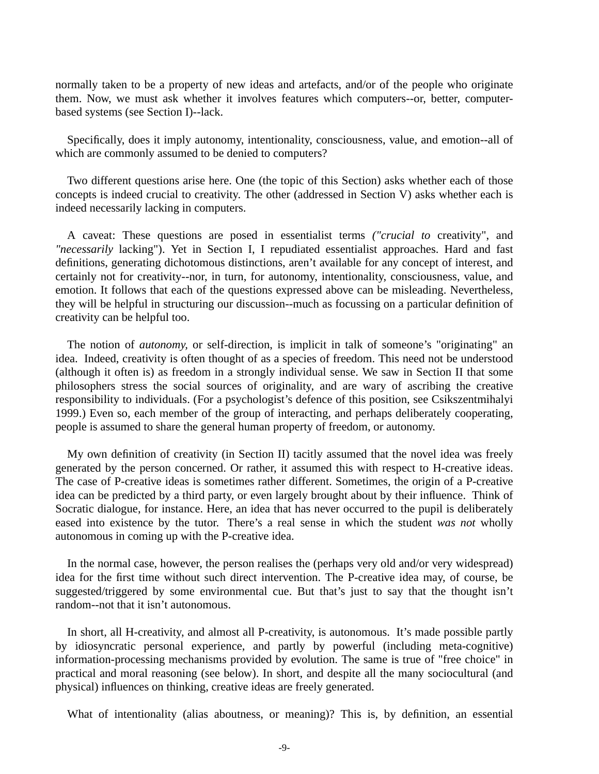normally taken to be a property of new ideas and artefacts, and/or of the people who originate them. Now, we must ask whether it involves features which computers--or, better, computerbased systems (see Section I)--lack.

Specifically, does it imply autonomy, intentionality, consciousness, value, and emotion--all of which are commonly assumed to be denied to computers?

Two different questions arise here. One (the topic of this Section) asks whether each of those concepts is indeed crucial to creativity. The other (addressed in Section V) asks whether each is indeed necessarily lacking in computers.

A cav eat: These questions are posed in essentialist terms *("crucial to* creativity", and *"necessarily* lacking"). Yet in Section I, I repudiated essentialist approaches. Hard and fast definitions, generating dichotomous distinctions, aren't available for any concept of interest, and certainly not for creativity--nor, in turn, for autonomy, intentionality, consciousness, value, and emotion. It follows that each of the questions expressed above can be misleading. Nevertheless, they will be helpful in structuring our discussion--much as focussing on a particular definition of creativity can be helpful too.

The notion of *autonomy,* or self-direction, is implicit in talk of someone's "originating" an idea. Indeed, creativity is often thought of as a species of freedom. This need not be understood (although it often is) as freedom in a strongly individual sense. We saw in Section II that some philosophers stress the social sources of originality, and are wary of ascribing the creative responsibility to individuals. (For a psychologist's defence of this position, see Csikszentmihalyi 1999.) Even so, each member of the group of interacting, and perhaps deliberately cooperating, people is assumed to share the general human property of freedom, or autonomy.

My own definition of creativity (in Section II) tacitly assumed that the novel idea was freely generated by the person concerned. Or rather, it assumed this with respect to H-creative ideas. The case of P-creative ideas is sometimes rather different. Sometimes, the origin of a P-creative idea can be predicted by a third party, or even largely brought about by their influence. Think of Socratic dialogue, for instance. Here, an idea that has never occurred to the pupil is deliberately eased into existence by the tutor. There's a real sense in which the student *was not* wholly autonomous in coming up with the P-creative idea.

In the normal case, however, the person realises the (perhaps very old and/or very widespread) idea for the first time without such direct intervention. The P-creative idea may, of course, be suggested/triggered by some environmental cue. But that's just to say that the thought isn't random--not that it isn't autonomous.

In short, all H-creativity, and almost all P-creativity, is autonomous. It's made possible partly by idiosyncratic personal experience, and partly by powerful (including meta-cognitive) information-processing mechanisms provided by evolution. The same is true of "free choice" in practical and moral reasoning (see below). In short, and despite all the many sociocultural (and physical) influences on thinking, creative ideas are freely generated.

What of intentionality (alias aboutness, or meaning)? This is, by definition, an essential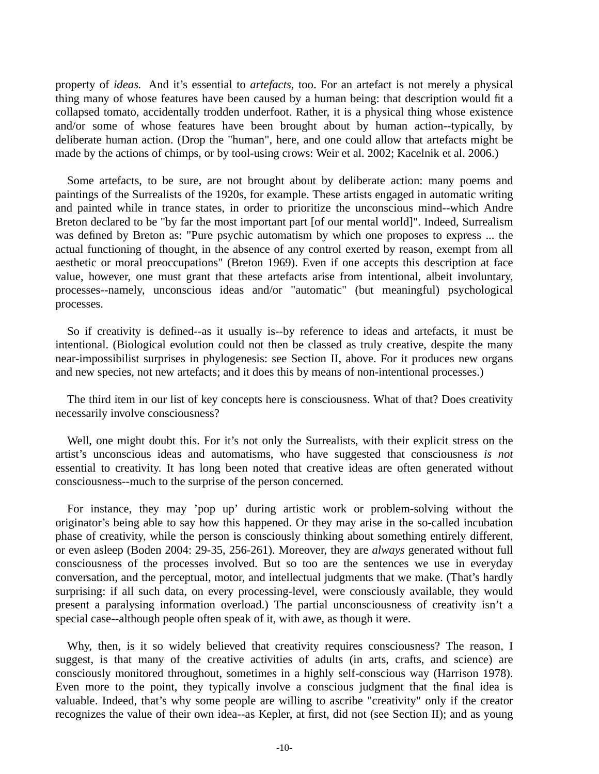property of *ideas.* And it's essential to *artefacts,* too. For an artefact is not merely a physical thing many of whose features have been caused by a human being: that description would fit a collapsed tomato, accidentally trodden underfoot. Rather, it is a physical thing whose existence and/or some of whose features have been brought about by human action--typically, by deliberate human action. (Drop the "human", here, and one could allow that artefacts might be made by the actions of chimps, or by tool-using crows: Weir et al. 2002; Kacelnik et al. 2006.)

Some artefacts, to be sure, are not brought about by deliberate action: many poems and paintings of the Surrealists of the 1920s, for example. These artists engaged in automatic writing and painted while in trance states, in order to prioritize the unconscious mind--which Andre Breton declared to be "by far the most important part [of our mental world]". Indeed, Surrealism was defined by Breton as: "Pure psychic automatism by which one proposes to express ... the actual functioning of thought, in the absence of any control exerted by reason, exempt from all aesthetic or moral preoccupations" (Breton 1969). Even if one accepts this description at face value, however, one must grant that these artefacts arise from intentional, albeit involuntary, processes--namely, unconscious ideas and/or "automatic" (but meaningful) psychological processes.

So if creativity is defined--as it usually is--by reference to ideas and artefacts, it must be intentional. (Biological evolution could not then be classed as truly creative, despite the many near-impossibilist surprises in phylogenesis: see Section II, above. For it produces new organs and new species, not new artefacts; and it does this by means of non-intentional processes.)

The third item in our list of key concepts here is consciousness. What of that? Does creativity necessarily involve consciousness?

Well, one might doubt this. For it's not only the Surrealists, with their explicit stress on the artist's unconscious ideas and automatisms, who have suggested that consciousness *is not* essential to creativity. It has long been noted that creative ideas are often generated without consciousness--much to the surprise of the person concerned.

For instance, they may 'pop up' during artistic work or problem-solving without the originator's being able to say how this happened. Or they may arise in the so-called incubation phase of creativity, while the person is consciously thinking about something entirely different, or even asleep (Boden 2004: 29-35, 256-261). Moreover, they are *always* generated without full consciousness of the processes involved. But so too are the sentences we use in everyday conversation, and the perceptual, motor, and intellectual judgments that we make. (That's hardly surprising: if all such data, on every processing-level, were consciously available, they would present a paralysing information overload.) The partial unconsciousness of creativity isn't a special case--although people often speak of it, with awe, as though it were.

Why, then, is it so widely believed that creativity requires consciousness? The reason, I suggest, is that many of the creative activities of adults (in arts, crafts, and science) are consciously monitored throughout, sometimes in a highly self-conscious way (Harrison 1978). Even more to the point, they typically involve a conscious judgment that the final idea is valuable. Indeed, that's why some people are willing to ascribe "creativity" only if the creator recognizes the value of their own idea--as Kepler, at first, did not (see Section II); and as young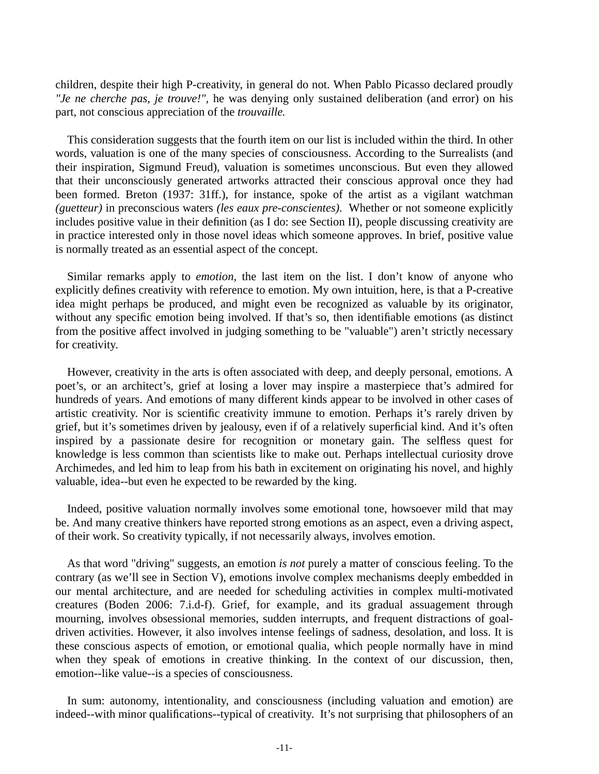children, despite their high P-creativity, in general do not. When Pablo Picasso declared proudly *"Je ne cherche pas, je trouve!",* he was denying only sustained deliberation (and error) on his part, not conscious appreciation of the *trouvaille.*

This consideration suggests that the fourth item on our list is included within the third. In other words, valuation is one of the many species of consciousness. According to the Surrealists (and their inspiration, Sigmund Freud), valuation is sometimes unconscious. But even they allowed that their unconsciously generated artworks attracted their conscious approval once they had been formed. Breton (1937: 31ff.), for instance, spoke of the artist as a vigilant watchman *(guetteur)* in preconscious waters *(les eaux pre-conscientes).* Whether or not someone explicitly includes positive value in their definition (as I do: see Section II), people discussing creativity are in practice interested only in those novel ideas which someone approves. In brief, positive value is normally treated as an essential aspect of the concept.

Similar remarks apply to *emotion,* the last item on the list. I don't know of anyone who explicitly defines creativity with reference to emotion. My own intuition, here, is that a P-creative idea might perhaps be produced, and might even be recognized as valuable by its originator, without any specific emotion being involved. If that's so, then identifiable emotions (as distinct from the positive affect involved in judging something to be "valuable") aren't strictly necessary for creativity.

However, creativity in the arts is often associated with deep, and deeply personal, emotions. A poet's, or an architect's, grief at losing a lover may inspire a masterpiece that's admired for hundreds of years. And emotions of many different kinds appear to be involved in other cases of artistic creativity. Nor is scientific creativity immune to emotion. Perhaps it's rarely driven by grief, but it's sometimes driven by jealousy, even if of a relatively superficial kind. And it's often inspired by a passionate desire for recognition or monetary gain. The selfless quest for knowledge is less common than scientists like to make out. Perhaps intellectual curiosity drove Archimedes, and led him to leap from his bath in excitement on originating his novel, and highly valuable, idea--but even he expected to be rewarded by the king.

Indeed, positive valuation normally involves some emotional tone, howsoever mild that may be. And many creative thinkers have reported strong emotions as an aspect, even a driving aspect, of their work. So creativity typically, if not necessarily always, involves emotion.

As that word "driving" suggests, an emotion *is not* purely a matter of conscious feeling. To the contrary (as we'll see in Section V), emotions involve complex mechanisms deeply embedded in our mental architecture, and are needed for scheduling activities in complex multi-motivated creatures (Boden 2006: 7.i.d-f). Grief, for example, and its gradual assuagement through mourning, involves obsessional memories, sudden interrupts, and frequent distractions of goaldriven activities. However, it also involves intense feelings of sadness, desolation, and loss. It is these conscious aspects of emotion, or emotional qualia, which people normally have in mind when they speak of emotions in creative thinking. In the context of our discussion, then, emotion--like value--is a species of consciousness.

In sum: autonomy, intentionality, and consciousness (including valuation and emotion) are indeed--with minor qualifications--typical of creativity. It's not surprising that philosophers of an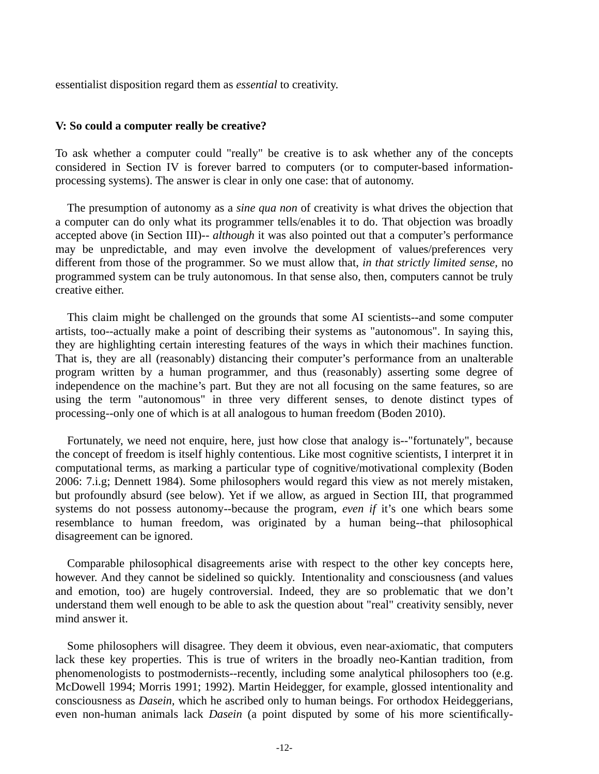essentialist disposition regard them as *essential* to creativity.

### **V: So could a computer really be creative?**

To ask whether a computer could "really" be creative is to ask whether any of the concepts considered in Section IV is forever barred to computers (or to computer-based informationprocessing systems). The answer is clear in only one case: that of autonomy.

The presumption of autonomy as a *sine qua non* of creativity is what drives the objection that a computer can do only what its programmer tells/enables it to do. That objection was broadly accepted above (in Section III)-- *although* it was also pointed out that a computer's performance may be unpredictable, and may even involve the development of values/preferences very different from those of the programmer. So we must allow that, *in that strictly limited sense,* no programmed system can be truly autonomous. In that sense also, then, computers cannot be truly creative either.

This claim might be challenged on the grounds that some AI scientists--and some computer artists, too--actually make a point of describing their systems as "autonomous". In saying this, they are highlighting certain interesting features of the ways in which their machines function. That is, they are all (reasonably) distancing their computer's performance from an unalterable program written by a human programmer, and thus (reasonably) asserting some degree of independence on the machine's part. But they are not all focusing on the same features, so are using the term "autonomous" in three very different senses, to denote distinct types of processing--only one of which is at all analogous to human freedom (Boden 2010).

Fortunately, we need not enquire, here, just how close that analogy is--"fortunately", because the concept of freedom is itself highly contentious. Like most cognitive scientists, I interpret it in computational terms, as marking a particular type of cognitive/motivational complexity (Boden 2006: 7.i.g; Dennett 1984). Some philosophers would regard this view as not merely mistaken, but profoundly absurd (see below). Yet if we allow, as argued in Section III, that programmed systems do not possess autonomy--because the program, *even if* it's one which bears some resemblance to human freedom, was originated by a human being--that philosophical disagreement can be ignored.

Comparable philosophical disagreements arise with respect to the other key concepts here, however. And they cannot be sidelined so quickly. Intentionality and consciousness (and values and emotion, too) are hugely controversial. Indeed, they are so problematic that we don't understand them well enough to be able to ask the question about "real" creativity sensibly, never mind answer it.

Some philosophers will disagree. They deem it obvious, even near-axiomatic, that computers lack these key properties. This is true of writers in the broadly neo-Kantian tradition, from phenomenologists to postmodernists--recently, including some analytical philosophers too (e.g. McDowell 1994; Morris 1991; 1992). Martin Heidegger, for example, glossed intentionality and consciousness as *Dasein,* which he ascribed only to human beings. For orthodox Heideggerians, even non-human animals lack *Dasein* (a point disputed by some of his more scientifically-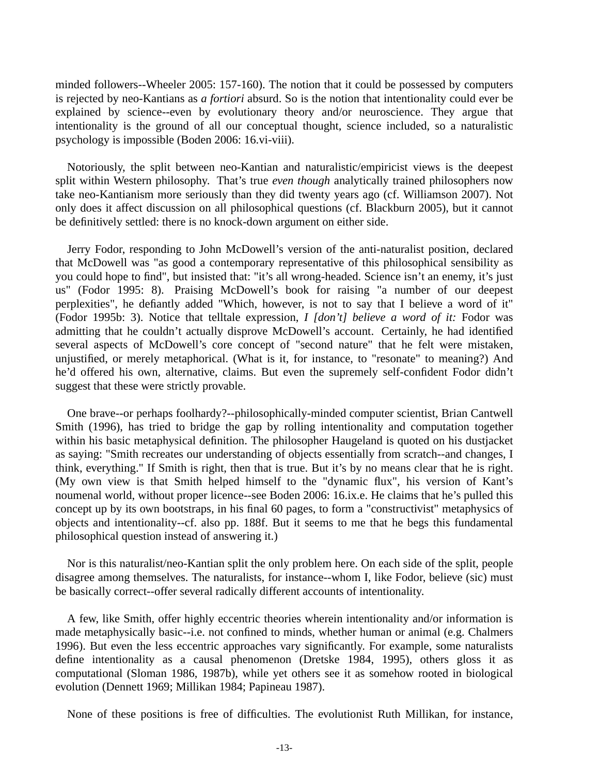minded followers--Wheeler 2005: 157-160). The notion that it could be possessed by computers is rejected by neo-Kantians as *a fortiori* absurd. So is the notion that intentionality could ever be explained by science--even by evolutionary theory and/or neuroscience. They argue that intentionality is the ground of all our conceptual thought, science included, so a naturalistic psychology is impossible (Boden 2006: 16.vi-viii).

Notoriously, the split between neo-Kantian and naturalistic/empiricist views is the deepest split within Western philosophy. That's true *even though* analytically trained philosophers now take neo-Kantianism more seriously than they did twenty years ago (cf. Williamson 2007). Not only does it affect discussion on all philosophical questions (cf. Blackburn 2005), but it cannot be definitively settled: there is no knock-down argument on either side.

Jerry Fodor, responding to John McDowell's version of the anti-naturalist position, declared that McDowell was "as good a contemporary representative of this philosophical sensibility as you could hope to find", but insisted that: "it's all wrong-headed. Science isn't an enemy, it's just us" (Fodor 1995: 8). Praising McDowell's book for raising "a number of our deepest perplexities", he defiantly added "Which, however, is not to say that I believe a word of it" (Fodor 1995b: 3). Notice that telltale expression, *I [don't] believe a word of it:* Fodor was admitting that he couldn't actually disprove McDowell's account. Certainly, he had identified several aspects of McDowell's core concept of "second nature" that he felt were mistaken, unjustified, or merely metaphorical. (What is it, for instance, to "resonate" to meaning?) And he'd offered his own, alternative, claims. But even the supremely self-confident Fodor didn't suggest that these were strictly provable.

One brave--or perhaps foolhardy?--philosophically-minded computer scientist, Brian Cantwell Smith (1996), has tried to bridge the gap by rolling intentionality and computation together within his basic metaphysical definition. The philosopher Haugeland is quoted on his dustjacket as saying: "Smith recreates our understanding of objects essentially from scratch--and changes, I think, everything." If Smith is right, then that is true. But it's by no means clear that he is right. (My own view is that Smith helped himself to the "dynamic flux", his version of Kant's noumenal world, without proper licence--see Boden 2006: 16.ix.e. He claims that he's pulled this concept up by its own bootstraps, in his final 60 pages, to form a "constructivist" metaphysics of objects and intentionality--cf. also pp. 188f. But it seems to me that he begs this fundamental philosophical question instead of answering it.)

Nor is this naturalist/neo-Kantian split the only problem here. On each side of the split, people disagree among themselves. The naturalists, for instance--whom I, like Fodor, believe (sic) must be basically correct--offer several radically different accounts of intentionality.

A few, like Smith, offer highly eccentric theories wherein intentionality and/or information is made metaphysically basic--i.e. not confined to minds, whether human or animal (e.g. Chalmers 1996). But even the less eccentric approaches vary significantly. For example, some naturalists define intentionality as a causal phenomenon (Dretske 1984, 1995), others gloss it as computational (Sloman 1986, 1987b), while yet others see it as somehow rooted in biological evolution (Dennett 1969; Millikan 1984; Papineau 1987).

None of these positions is free of difficulties. The evolutionist Ruth Millikan, for instance,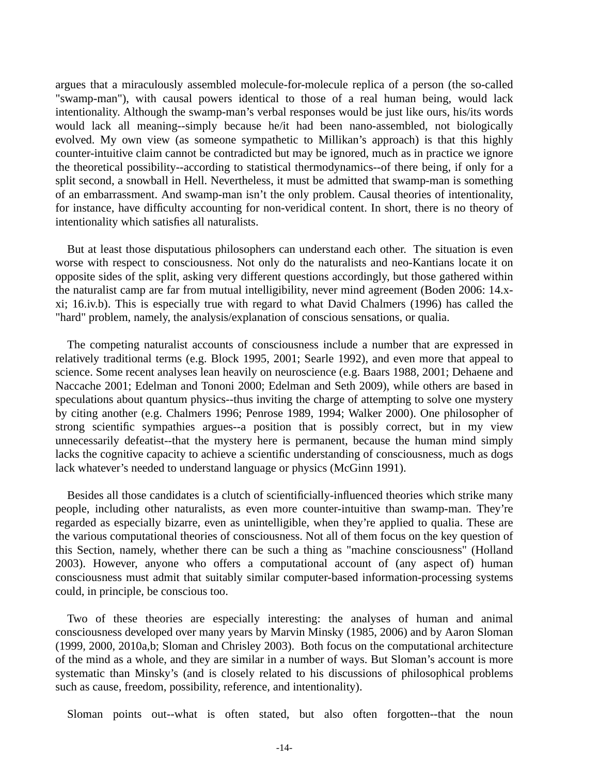argues that a miraculously assembled molecule-for-molecule replica of a person (the so-called "swamp-man"), with causal powers identical to those of a real human being, would lack intentionality. Although the swamp-man's verbal responses would be just like ours, his/its words would lack all meaning--simply because he/it had been nano-assembled, not biologically evolved. My own view (as someone sympathetic to Millikan's approach) is that this highly counter-intuitive claim cannot be contradicted but may be ignored, much as in practice we ignore the theoretical possibility--according to statistical thermodynamics--of there being, if only for a split second, a snowball in Hell. Nevertheless, it must be admitted that swamp-man is something of an embarrassment. And swamp-man isn't the only problem. Causal theories of intentionality, for instance, have difficulty accounting for non-veridical content. In short, there is no theory of intentionality which satisfies all naturalists.

But at least those disputatious philosophers can understand each other. The situation is even worse with respect to consciousness. Not only do the naturalists and neo-Kantians locate it on opposite sides of the split, asking very different questions accordingly, but those gathered within the naturalist camp are far from mutual intelligibility, never mind agreement (Boden 2006: 14.xxi; 16.iv.b). This is especially true with regard to what David Chalmers (1996) has called the "hard" problem, namely, the analysis/explanation of conscious sensations, or qualia.

The competing naturalist accounts of consciousness include a number that are expressed in relatively traditional terms (e.g. Block 1995, 2001; Searle 1992), and even more that appeal to science. Some recent analyses lean heavily on neuroscience (e.g. Baars 1988, 2001; Dehaene and Naccache 2001; Edelman and Tononi 2000; Edelman and Seth 2009), while others are based in speculations about quantum physics--thus inviting the charge of attempting to solve one mystery by citing another (e.g. Chalmers 1996; Penrose 1989, 1994; Walker 2000). One philosopher of strong scientific sympathies argues--a position that is possibly correct, but in my view unnecessarily defeatist--that the mystery here is permanent, because the human mind simply lacks the cognitive capacity to achieve a scientific understanding of consciousness, much as dogs lack whatever's needed to understand language or physics (McGinn 1991).

Besides all those candidates is a clutch of scientificially-influenced theories which strike many people, including other naturalists, as even more counter-intuitive than swamp-man. They're regarded as especially bizarre, even as unintelligible, when they're applied to qualia. These are the various computational theories of consciousness. Not all of them focus on the key question of this Section, namely, whether there can be such a thing as "machine consciousness" (Holland 2003). However, anyone who offers a computational account of (any aspect of) human consciousness must admit that suitably similar computer-based information-processing systems could, in principle, be conscious too.

Two of these theories are especially interesting: the analyses of human and animal consciousness developed over many years by Marvin Minsky (1985, 2006) and by Aaron Sloman (1999, 2000, 2010a,b; Sloman and Chrisley 2003). Both focus on the computational architecture of the mind as a whole, and they are similar in a number of ways. But Sloman's account is more systematic than Minsky's (and is closely related to his discussions of philosophical problems such as cause, freedom, possibility, reference, and intentionality).

Sloman points out--what is often stated, but also often forgotten--that the noun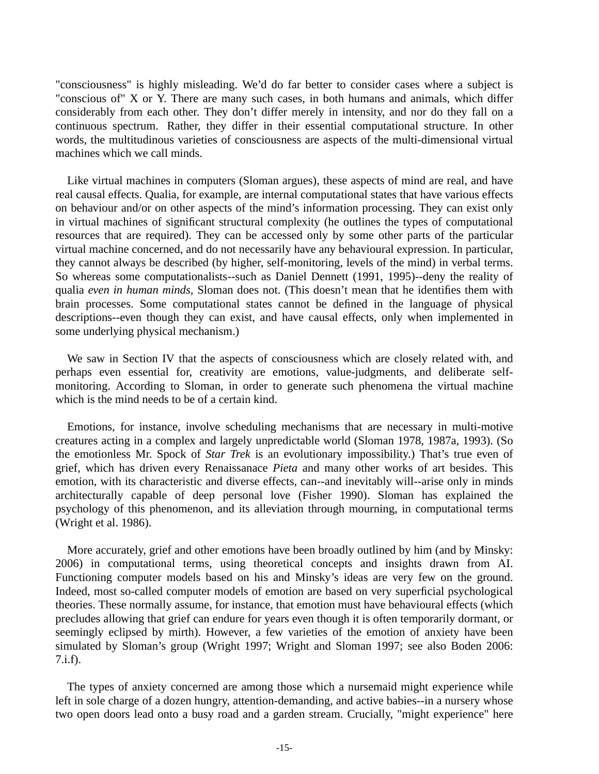"consciousness" is highly misleading. We'd do far better to consider cases where a subject is "conscious of" X or Y. There are many such cases, in both humans and animals, which differ considerably from each other. They don't differ merely in intensity, and nor do they fall on a continuous spectrum. Rather, they differ in their essential computational structure. In other words, the multitudinous varieties of consciousness are aspects of the multi-dimensional virtual machines which we call minds.

Like virtual machines in computers (Sloman argues), these aspects of mind are real, and have real causal effects. Qualia, for example, are internal computational states that have various effects on behaviour and/or on other aspects of the mind's information processing. They can exist only in virtual machines of significant structural complexity (he outlines the types of computational resources that are required). They can be accessed only by some other parts of the particular virtual machine concerned, and do not necessarily have any behavioural expression. In particular, they cannot always be described (by higher, self-monitoring, levels of the mind) in verbal terms. So whereas some computationalists--such as Daniel Dennett (1991, 1995)--deny the reality of qualia *even in human minds,* Sloman does not. (This doesn't mean that he identifies them with brain processes. Some computational states cannot be defined in the language of physical descriptions--even though they can exist, and have causal effects, only when implemented in some underlying physical mechanism.)

We saw in Section IV that the aspects of consciousness which are closely related with, and perhaps even essential for, creativity are emotions, value-judgments, and deliberate selfmonitoring. According to Sloman, in order to generate such phenomena the virtual machine which is the mind needs to be of a certain kind.

Emotions, for instance, involve scheduling mechanisms that are necessary in multi-motive creatures acting in a complex and largely unpredictable world (Sloman 1978, 1987a, 1993). (So the emotionless Mr. Spock of *Star Trek* is an evolutionary impossibility.) That's true even of grief, which has driven every Renaissanace *Pieta* and many other works of art besides. This emotion, with its characteristic and diverse effects, can--and inevitably will--arise only in minds architecturally capable of deep personal love (Fisher 1990). Sloman has explained the psychology of this phenomenon, and its alleviation through mourning, in computational terms (Wright et al. 1986).

More accurately, grief and other emotions have been broadly outlined by him (and by Minsky: 2006) in computational terms, using theoretical concepts and insights drawn from AI. Functioning computer models based on his and Minsky's ideas are very few on the ground. Indeed, most so-called computer models of emotion are based on very superficial psychological theories. These normally assume, for instance, that emotion must have behavioural effects (which precludes allowing that grief can endure for years even though it is often temporarily dormant, or seemingly eclipsed by mirth). However, a few varieties of the emotion of anxiety have been simulated by Sloman's group (Wright 1997; Wright and Sloman 1997; see also Boden 2006: 7.i.f).

The types of anxiety concerned are among those which a nursemaid might experience while left in sole charge of a dozen hungry, attention-demanding, and active babies--in a nursery whose two open doors lead onto a busy road and a garden stream. Crucially, "might experience" here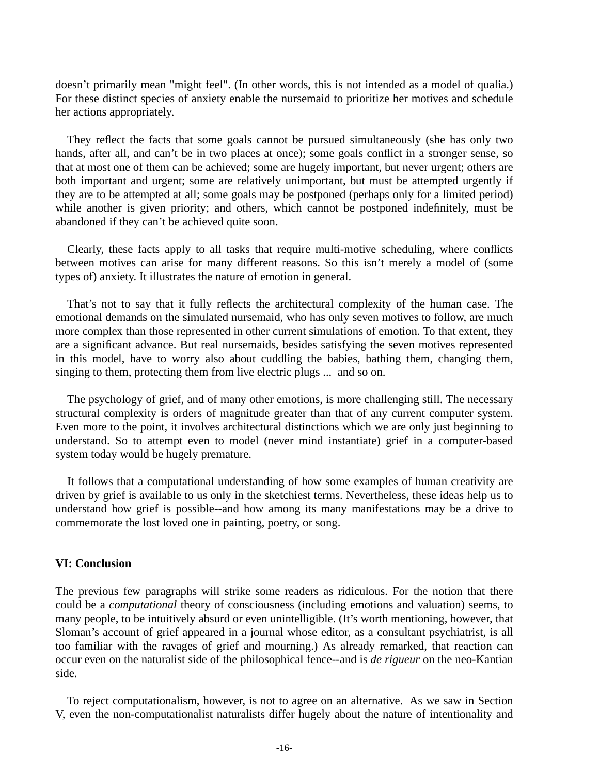doesn't primarily mean "might feel". (In other words, this is not intended as a model of qualia.) For these distinct species of anxiety enable the nursemaid to prioritize her motives and schedule her actions appropriately.

They reflect the facts that some goals cannot be pursued simultaneously (she has only two hands, after all, and can't be in two places at once); some goals conflict in a stronger sense, so that at most one of them can be achieved; some are hugely important, but never urgent; others are both important and urgent; some are relatively unimportant, but must be attempted urgently if they are to be attempted at all; some goals may be postponed (perhaps only for a limited period) while another is given priority; and others, which cannot be postponed indefinitely, must be abandoned if they can't be achieved quite soon.

Clearly, these facts apply to all tasks that require multi-motive scheduling, where conflicts between motives can arise for many different reasons. So this isn't merely a model of (some types of) anxiety. It illustrates the nature of emotion in general.

That's not to say that it fully reflects the architectural complexity of the human case. The emotional demands on the simulated nursemaid, who has only seven motives to follow, are much more complex than those represented in other current simulations of emotion. To that extent, they are a significant advance. But real nursemaids, besides satisfying the seven motives represented in this model, have to worry also about cuddling the babies, bathing them, changing them, singing to them, protecting them from live electric plugs ... and so on.

The psychology of grief, and of many other emotions, is more challenging still. The necessary structural complexity is orders of magnitude greater than that of any current computer system. Even more to the point, it involves architectural distinctions which we are only just beginning to understand. So to attempt even to model (never mind instantiate) grief in a computer-based system today would be hugely premature.

It follows that a computational understanding of how some examples of human creativity are driven by grief is available to us only in the sketchiest terms. Nevertheless, these ideas help us to understand how grief is possible--and how among its many manifestations may be a drive to commemorate the lost loved one in painting, poetry, or song.

# **VI: Conclusion**

The previous few paragraphs will strike some readers as ridiculous. For the notion that there could be a *computational* theory of consciousness (including emotions and valuation) seems, to many people, to be intuitively absurd or even unintelligible. (It's worth mentioning, however, that Sloman's account of grief appeared in a journal whose editor, as a consultant psychiatrist, is all too familiar with the ravages of grief and mourning.) As already remarked, that reaction can occur even on the naturalist side of the philosophical fence--and is *de rigueur* on the neo-Kantian side.

To reject computationalism, however, is not to agree on an alternative. As we saw in Section V, even the non-computationalist naturalists differ hugely about the nature of intentionality and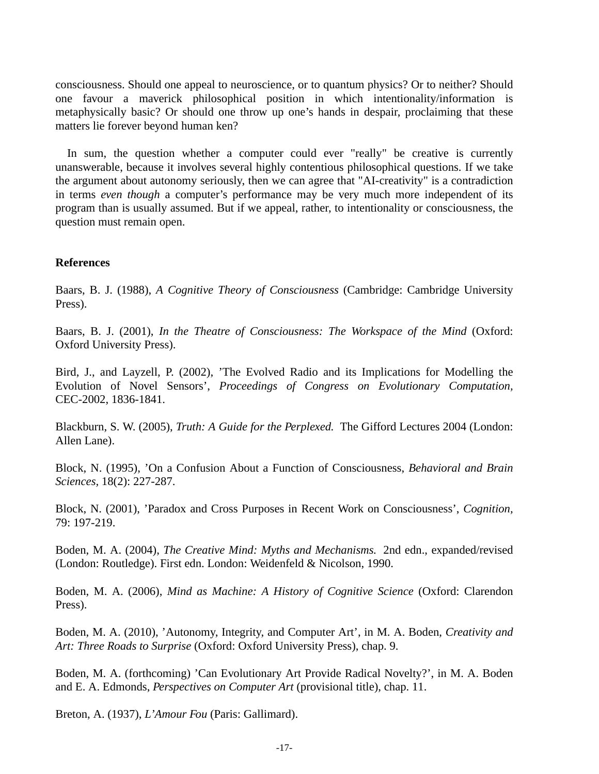consciousness. Should one appeal to neuroscience, or to quantum physics? Or to neither? Should one favour a maverick philosophical position in which intentionality/information is metaphysically basic? Or should one throw up one's hands in despair, proclaiming that these matters lie forever beyond human ken?

In sum, the question whether a computer could ever "really" be creative is currently unanswerable, because it involves several highly contentious philosophical questions. If we take the argument about autonomy seriously, then we can agree that "AI-creativity" is a contradiction in terms *even though* a computer's performance may be very much more independent of its program than is usually assumed. But if we appeal, rather, to intentionality or consciousness, the question must remain open.

# **References**

Baars, B. J. (1988), *A Cognitive Theory of Consciousness* (Cambridge: Cambridge University Press).

Baars, B. J. (2001), *In the Theatre of Consciousness: The Workspace of the Mind* (Oxford: Oxford University Press).

Bird, J., and Layzell, P. (2002), 'The Evolved Radio and its Implications for Modelling the Evolution of Novel Sensors', *Proceedings of Congress on Evolutionary Computation,* CEC-2002, 1836-1841.

Blackburn, S. W. (2005), *Truth: A Guide for the Perplexed.* The Gifford Lectures 2004 (London: Allen Lane).

Block, N. (1995), 'On a Confusion About a Function of Consciousness, *Behavioral and Brain Sciences,* 18(2): 227-287.

Block, N. (2001), 'Paradox and Cross Purposes in Recent Work on Consciousness', *Cognition,* 79: 197-219.

Boden, M. A. (2004), *The Creative Mind: Myths and Mechanisms.* 2nd edn., expanded/revised (London: Routledge). First edn. London: Weidenfeld & Nicolson, 1990.

Boden, M. A. (2006), *Mind as Machine: A History of Cognitive Science* (Oxford: Clarendon Press).

Boden, M. A. (2010), 'Autonomy, Integrity, and Computer Art', in M. A. Boden, *Creativity and Art: Three Roads to Surprise* (Oxford: Oxford University Press), chap. 9.

Boden, M. A. (forthcoming) 'Can Evolutionary Art Provide Radical Novelty?', in M. A. Boden and E. A. Edmonds, *Perspectives on Computer Art* (provisional title), chap. 11.

Breton, A. (1937), *L'Amour Fou* (Paris: Gallimard).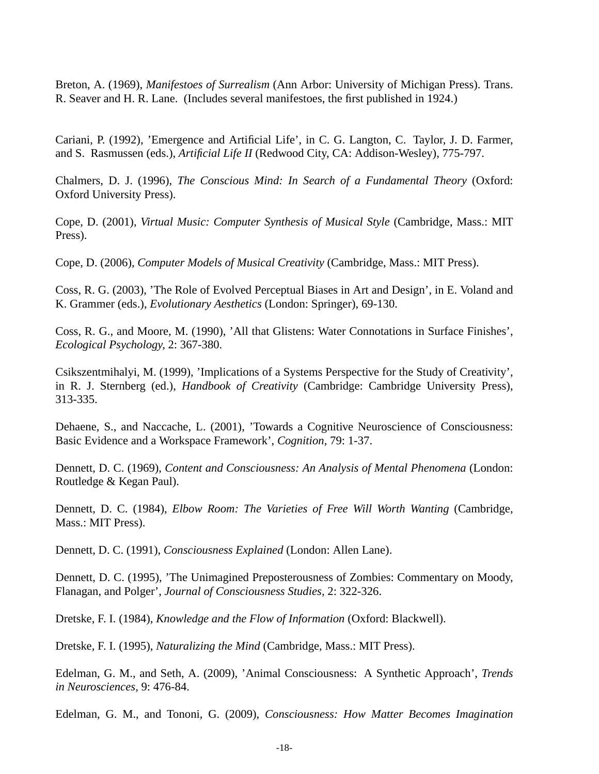Breton, A. (1969), *Manifestoes of Surrealism* (Ann Arbor: University of Michigan Press). Trans. R. Seaver and H. R. Lane. (Includes several manifestoes, the first published in 1924.)

Cariani, P. (1992), 'Emergence and Artificial Life', in C. G. Langton, C. Taylor, J. D. Farmer, and S. Rasmussen (eds.), *Artificial Life II* (Redwood City, CA: Addison-Wesley), 775-797.

Chalmers, D. J. (1996), *The Conscious Mind: In Search of a Fundamental Theory* (Oxford: Oxford University Press).

Cope, D. (2001), *Virtual Music: Computer Synthesis of Musical Style* (Cambridge, Mass.: MIT Press).

Cope, D. (2006), *Computer Models of Musical Creativity* (Cambridge, Mass.: MIT Press).

Coss, R. G. (2003), 'The Role of Evolved Perceptual Biases in Art and Design', in E. Voland and K. Grammer (eds.), *Evolutionary Aesthetics* (London: Springer), 69-130.

Coss, R. G., and Moore, M. (1990), 'All that Glistens: Water Connotations in Surface Finishes', *Ecological Psychology,* 2: 367-380.

Csikszentmihalyi, M. (1999), 'Implications of a Systems Perspective for the Study of Creativity', in R. J. Sternberg (ed.), *Handbook of Creativity* (Cambridge: Cambridge University Press), 313-335.

Dehaene, S., and Naccache, L. (2001), 'Towards a Cognitive Neuroscience of Consciousness: Basic Evidence and a Workspace Framework', *Cognition,* 79: 1-37.

Dennett, D. C. (1969), *Content and Consciousness: An Analysis of Mental Phenomena* (London: Routledge & Kegan Paul).

Dennett, D. C. (1984), *Elbow Room: The Varieties of Free Will Worth Wanting* (Cambridge, Mass.: MIT Press).

Dennett, D. C. (1991), *Consciousness Explained* (London: Allen Lane).

Dennett, D. C. (1995), 'The Unimagined Preposterousness of Zombies: Commentary on Moody, Flanagan, and Polger', *Journal of Consciousness Studies,* 2: 322-326.

Dretske, F. I. (1984), *Knowledge and the Flow of Information* (Oxford: Blackwell).

Dretske, F. I. (1995), *Naturalizing the Mind* (Cambridge, Mass.: MIT Press).

Edelman, G. M., and Seth, A. (2009), 'Animal Consciousness: A Synthetic Approach', *Trends in Neurosciences,* 9: 476-84.

Edelman, G. M., and Tononi, G. (2009), *Consciousness: How Matter Becomes Imagination*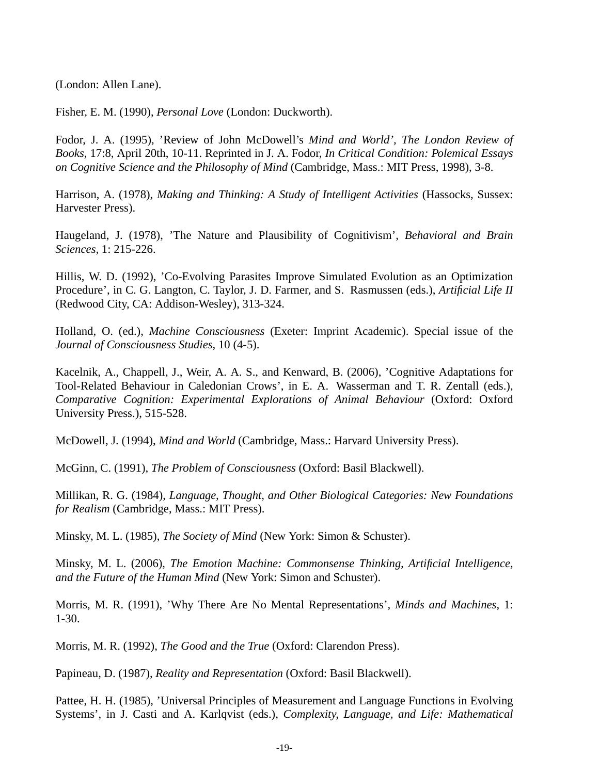(London: Allen Lane).

Fisher, E. M. (1990), *Personal Love* (London: Duckworth).

Fodor, J. A. (1995), 'Review of John McDowell's *Mind and World', The London Review of Books,* 17:8, April 20th, 10-11. Reprinted in J. A. Fodor, *In Critical Condition: Polemical Essays on Cognitive Science and the Philosophy of Mind* (Cambridge, Mass.: MIT Press, 1998), 3-8.

Harrison, A. (1978), *Making and Thinking: A Study of Intelligent Activities* (Hassocks, Sussex: Harvester Press).

Haugeland, J. (1978), 'The Nature and Plausibility of Cognitivism', *Behavioral and Brain Sciences,* 1: 215-226.

Hillis, W. D. (1992), 'Co-Evolving Parasites Improve Simulated Evolution as an Optimization Procedure', in C. G. Langton, C. Taylor, J. D. Farmer, and S. Rasmussen (eds.), *Artificial Life II* (Redwood City, CA: Addison-Wesley), 313-324.

Holland, O. (ed.), *Machine Consciousness* (Exeter: Imprint Academic). Special issue of the *Journal of Consciousness Studies,* 10 (4-5).

Kacelnik, A., Chappell, J., Weir, A. A. S., and Kenward, B. (2006), 'Cognitive Adaptations for Tool-Related Behaviour in Caledonian Crows', in E. A. Wasserman and T. R. Zentall (eds.), *Comparative Cognition: Experimental Explorations of Animal Behaviour* (Oxford: Oxford University Press.), 515-528.

McDowell, J. (1994), *Mind and World* (Cambridge, Mass.: Harvard University Press).

McGinn, C. (1991), *The Problem of Consciousness* (Oxford: Basil Blackwell).

Millikan, R. G. (1984), *Language, Thought, and Other Biological Categories: New Foundations for Realism* (Cambridge, Mass.: MIT Press).

Minsky, M. L. (1985), *The Society of Mind* (New York: Simon & Schuster).

Minsky, M. L. (2006), *The Emotion Machine: Commonsense Thinking, Artificial Intelligence, and the Future of the Human Mind* (New York: Simon and Schuster).

Morris, M. R. (1991), 'Why There Are No Mental Representations', *Minds and Machines,* 1: 1-30.

Morris, M. R. (1992), *The Good and the True* (Oxford: Clarendon Press).

Papineau, D. (1987), *Reality and Representation* (Oxford: Basil Blackwell).

Pattee, H. H. (1985), 'Universal Principles of Measurement and Language Functions in Evolving Systems', in J. Casti and A. Karlqvist (eds.), *Complexity, Language, and Life: Mathematical*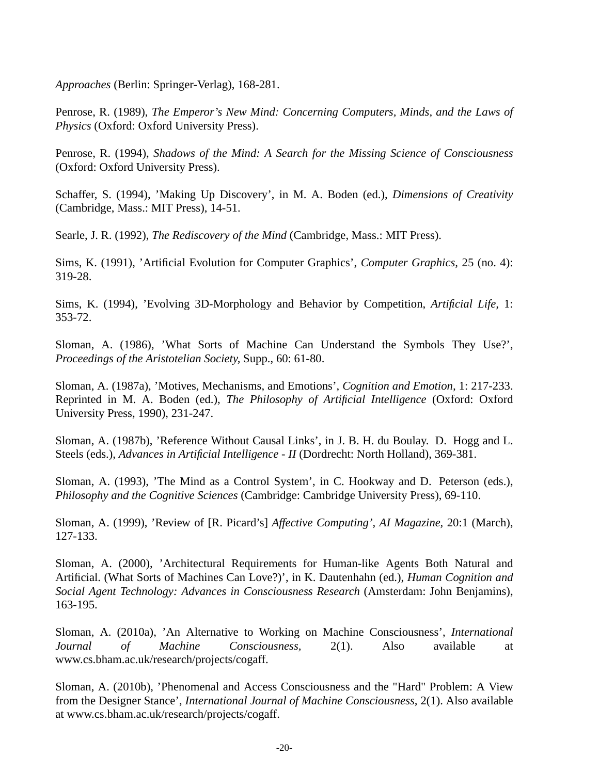*Approaches* (Berlin: Springer-Verlag), 168-281.

Penrose, R. (1989), *The Emperor's New Mind: Concerning Computers, Minds, and the Laws of Physics* (Oxford: Oxford University Press).

Penrose, R. (1994), *Shadows of the Mind: A Search for the Missing Science of Consciousness* (Oxford: Oxford University Press).

Schaffer, S. (1994), 'Making Up Discovery', in M. A. Boden (ed.), *Dimensions of Creativity* (Cambridge, Mass.: MIT Press), 14-51.

Searle, J. R. (1992), *The Rediscovery of the Mind* (Cambridge, Mass.: MIT Press).

Sims, K. (1991), 'Artificial Evolution for Computer Graphics', *Computer Graphics,* 25 (no. 4): 319-28.

Sims, K. (1994), 'Evolving 3D-Morphology and Behavior by Competition, *Artificial Life,* 1: 353-72.

Sloman, A. (1986), 'What Sorts of Machine Can Understand the Symbols They Use?', *Proceedings of the Aristotelian Society,* Supp., 60: 61-80.

Sloman, A. (1987a), 'Motives, Mechanisms, and Emotions', *Cognition and Emotion,* 1: 217-233. Reprinted in M. A. Boden (ed.), *The Philosophy of Artificial Intelligence* (Oxford: Oxford University Press, 1990), 231-247.

Sloman, A. (1987b), 'Reference Without Causal Links', in J. B. H. du Boulay. D. Hogg and L. Steels (eds.), *Advances in Artificial Intelligence - II* (Dordrecht: North Holland), 369-381.

Sloman, A. (1993), 'The Mind as a Control System', in C. Hookway and D. Peterson (eds.), *Philosophy and the Cognitive Sciences* (Cambridge: Cambridge University Press), 69-110.

Sloman, A. (1999), 'Review of [R. Picard's] *Affective Computing', AI Magazine,* 20:1 (March), 127-133.

Sloman, A. (2000), 'Architectural Requirements for Human-like Agents Both Natural and Artificial. (What Sorts of Machines Can Love?)', in K. Dautenhahn (ed.), *Human Cognition and Social Agent Technology: Advances in Consciousness Research* (Amsterdam: John Benjamins), 163-195.

Sloman, A. (2010a), 'An Alternative to Working on Machine Consciousness', *International Journal of Machine Consciousness,* 2(1). Also available at www.cs.bham.ac.uk/research/projects/cogaff.

Sloman, A. (2010b), 'Phenomenal and Access Consciousness and the "Hard" Problem: A View from the Designer Stance', *International Journal of Machine Consciousness,* 2(1). Also available at www.cs.bham.ac.uk/research/projects/cogaff.